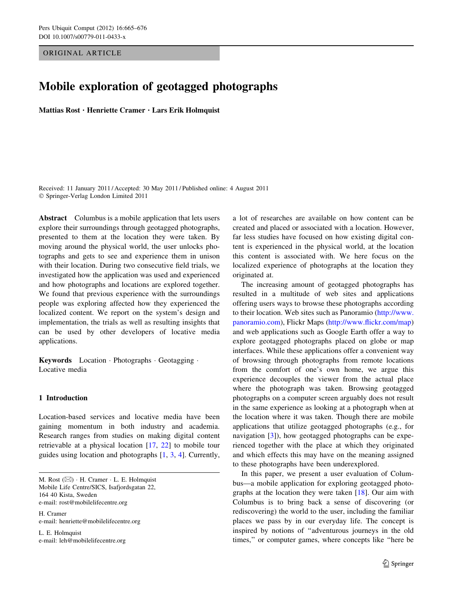ORIGINAL ARTICLE

# Mobile exploration of geotagged photographs

Mattias Rost • Henriette Cramer • Lars Erik Holmquist

Received: 11 January 2011 / Accepted: 30 May 2011 / Published online: 4 August 2011 - Springer-Verlag London Limited 2011

Abstract Columbus is a mobile application that lets users explore their surroundings through geotagged photographs, presented to them at the location they were taken. By moving around the physical world, the user unlocks photographs and gets to see and experience them in unison with their location. During two consecutive field trials, we investigated how the application was used and experienced and how photographs and locations are explored together. We found that previous experience with the surroundings people was exploring affected how they experienced the localized content. We report on the system's design and implementation, the trials as well as resulting insights that can be used by other developers of locative media applications.

Keywords Location · Photographs · Geotagging · Locative media

# 1 Introduction

Location-based services and locative media have been gaining momentum in both industry and academia. Research ranges from studies on making digital content retrievable at a physical location [\[17](#page-11-0), [22\]](#page-11-0) to mobile tour guides using location and photographs [\[1](#page-11-0), [3,](#page-11-0) [4](#page-11-0)]. Currently,

H. Cramer e-mail: henriette@mobilelifecentre.org

L. E. Holmquist e-mail: leh@mobilelifecentre.org a lot of researches are available on how content can be created and placed or associated with a location. However, far less studies have focused on how existing digital content is experienced in the physical world, at the location this content is associated with. We here focus on the localized experience of photographs at the location they originated at.

The increasing amount of geotagged photographs has resulted in a multitude of web sites and applications offering users ways to browse these photographs according to their location. Web sites such as Panoramio [\(http://www.](http://www.panoramio.com) [panoramio.com\)](http://www.panoramio.com), Flickr Maps ([http://www.flickr.com/map\)](http://www.flickr.com/map) and web applications such as Google Earth offer a way to explore geotagged photographs placed on globe or map interfaces. While these applications offer a convenient way of browsing through photographs from remote locations from the comfort of one's own home, we argue this experience decouples the viewer from the actual place where the photograph was taken. Browsing geotagged photographs on a computer screen arguably does not result in the same experience as looking at a photograph when at the location where it was taken. Though there are mobile applications that utilize geotagged photographs (e.g., for navigation [\[3](#page-11-0)]), how geotagged photographs can be experienced together with the place at which they originated and which effects this may have on the meaning assigned to these photographs have been underexplored.

In this paper, we present a user evaluation of Columbus—a mobile application for exploring geotagged photographs at the location they were taken [[18\]](#page-11-0). Our aim with Columbus is to bring back a sense of discovering (or rediscovering) the world to the user, including the familiar places we pass by in our everyday life. The concept is inspired by notions of ''adventurous journeys in the old times,'' or computer games, where concepts like ''here be

M. Rost  $(\boxtimes) \cdot H$ . Cramer  $\cdot$  L. E. Holmquist Mobile Life Centre/SICS, Isafjordsgatan 22, 164 40 Kista, Sweden e-mail: rost@mobilelifecentre.org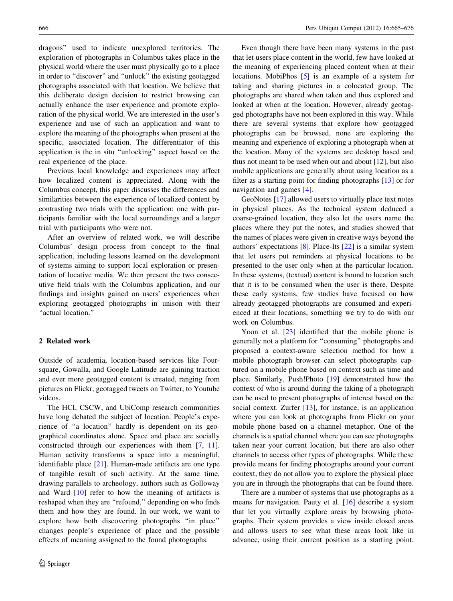dragons'' used to indicate unexplored territories. The exploration of photographs in Columbus takes place in the physical world where the user must physically go to a place in order to "discover" and "unlock" the existing geotagged photographs associated with that location. We believe that this deliberate design decision to restrict browsing can actually enhance the user experience and promote exploration of the physical world. We are interested in the user's experience and use of such an application and want to explore the meaning of the photographs when present at the specific, associated location. The differentiator of this application is the in situ ''unlocking'' aspect based on the real experience of the place.

Previous local knowledge and experiences may affect how localized content is appreciated. Along with the Columbus concept, this paper discusses the differences and similarities between the experience of localized content by contrasting two trials with the application: one with participants familiar with the local surroundings and a larger trial with participants who were not.

After an overview of related work, we will describe Columbus' design process from concept to the final application, including lessons learned on the development of systems aiming to support local exploration or presentation of locative media. We then present the two consecutive field trials with the Columbus application, and our findings and insights gained on users' experiences when exploring geotagged photographs in unison with their ''actual location.''

#### 2 Related work

Outside of academia, location-based services like Foursquare, Gowalla, and Google Latitude are gaining traction and ever more geotagged content is created, ranging from pictures on Flickr, geotagged tweets on Twitter, to Youtube videos.

The HCI, CSCW, and UbiComp research communities have long debated the subject of location. People's experience of ''a location'' hardly is dependent on its geographical coordinates alone. Space and place are socially constructed through our experiences with them [[7,](#page-11-0) [11](#page-11-0)]. Human activity transforms a space into a meaningful, identifiable place [[21\]](#page-11-0). Human-made artifacts are one type of tangible result of such activity. At the same time, drawing parallels to archeology, authors such as Golloway and Ward [\[10](#page-11-0)] refer to how the meaning of artifacts is reshaped when they are ''refound,'' depending on who finds them and how they are found. In our work, we want to explore how both discovering photographs ''in place'' changes people's experience of place and the possible effects of meaning assigned to the found photographs.

Even though there have been many systems in the past that let users place content in the world, few have looked at the meaning of experiencing placed content when at their locations. MobiPhos [[5\]](#page-11-0) is an example of a system for taking and sharing pictures in a colocated group. The photographs are shared when taken and thus explored and looked at when at the location. However, already geotagged photographs have not been explored in this way. While there are several systems that explore how geotagged photographs can be browsed, none are exploring the meaning and experience of exploring a photograph when at the location. Many of the systems are desktop based and thus not meant to be used when out and about  $[12]$  $[12]$ , but also mobile applications are generally about using location as a filter as a starting point for finding photographs [[13\]](#page-11-0) or for navigation and games [[4\]](#page-11-0).

GeoNotes [\[17](#page-11-0)] allowed users to virtually place text notes in physical places. As the technical system deduced a coarse-grained location, they also let the users name the places where they put the notes, and studies showed that the names of places were given in creative ways beyond the authors' expectations [\[8\]](#page-11-0). Place-Its [[22\]](#page-11-0) is a similar system that let users put reminders at physical locations to be presented to the user only when at the particular location. In these systems, (textual) content is bound to location such that it is to be consumed when the user is there. Despite these early systems, few studies have focused on how already geotagged photographs are consumed and experienced at their locations, something we try to do with our work on Columbus.

Yoon et al. [[23\]](#page-11-0) identified that the mobile phone is generally not a platform for ''consuming'' photographs and proposed a context-aware selection method for how a mobile photograph browser can select photographs captured on a mobile phone based on context such as time and place. Similarly, Push!Photo [\[19](#page-11-0)] demonstrated how the context of who is around during the taking of a photograph can be used to present photographs of interest based on the social context. Zurfer [[13\]](#page-11-0), for instance, is an application where you can look at photographs from Flickr on your mobile phone based on a channel metaphor. One of the channels is a spatial channel where you can see photographs taken near your current location, but there are also other channels to access other types of photographs. While these provide means for finding photographs around your current context, they do not allow you to explore the physical place you are in through the photographs that can be found there.

There are a number of systems that use photographs as a means for navigation. Pauty et al. [[16\]](#page-11-0) describe a system that let you virtually explore areas by browsing photographs. Their system provides a view inside closed areas and allows users to see what these areas look like in advance, using their current position as a starting point.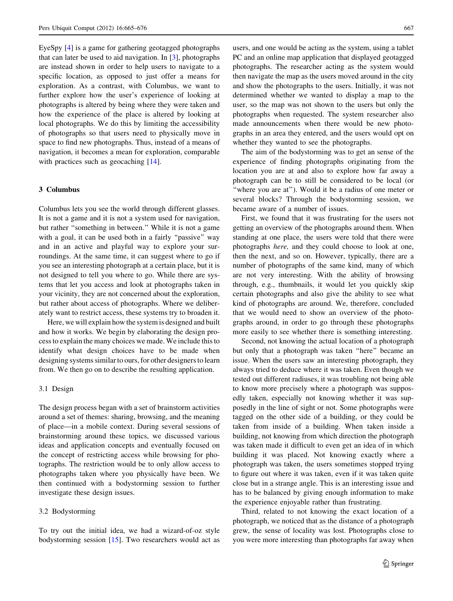EyeSpy [\[4](#page-11-0)] is a game for gathering geotagged photographs that can later be used to aid navigation. In [\[3](#page-11-0)], photographs are instead shown in order to help users to navigate to a specific location, as opposed to just offer a means for exploration. As a contrast, with Columbus, we want to further explore how the user's experience of looking at photographs is altered by being where they were taken and how the experience of the place is altered by looking at local photographs. We do this by limiting the accessibility of photographs so that users need to physically move in space to find new photographs. Thus, instead of a means of navigation, it becomes a mean for exploration, comparable with practices such as geocaching [[14\]](#page-11-0).

#### 3 Columbus

Columbus lets you see the world through different glasses. It is not a game and it is not a system used for navigation, but rather ''something in between.'' While it is not a game with a goal, it can be used both in a fairly "passive" way and in an active and playful way to explore your surroundings. At the same time, it can suggest where to go if you see an interesting photograph at a certain place, but it is not designed to tell you where to go. While there are systems that let you access and look at photographs taken in your vicinity, they are not concerned about the exploration, but rather about access of photographs. Where we deliberately want to restrict access, these systems try to broaden it.

Here, we will explain how the system is designed and built and how it works. We begin by elaborating the design process to explain the many choices we made. We include this to identify what design choices have to be made when designing systems similar to ours, for other designers to learn from. We then go on to describe the resulting application.

#### 3.1 Design

The design process began with a set of brainstorm activities around a set of themes: sharing, browsing, and the meaning of place—in a mobile context. During several sessions of brainstorming around these topics, we discussed various ideas and application concepts and eventually focused on the concept of restricting access while browsing for photographs. The restriction would be to only allow access to photographs taken where you physically have been. We then continued with a bodystorming session to further investigate these design issues.

#### 3.2 Bodystorming

To try out the initial idea, we had a wizard-of-oz style bodystorming session [\[15](#page-11-0)]. Two researchers would act as users, and one would be acting as the system, using a tablet PC and an online map application that displayed geotagged photographs. The researcher acting as the system would then navigate the map as the users moved around in the city and show the photographs to the users. Initially, it was not determined whether we wanted to display a map to the user, so the map was not shown to the users but only the photographs when requested. The system researcher also made announcements when there would be new photographs in an area they entered, and the users would opt on whether they wanted to see the photographs.

The aim of the bodystorming was to get an sense of the experience of finding photographs originating from the location you are at and also to explore how far away a photograph can be to still be considered to be local (or ''where you are at''). Would it be a radius of one meter or several blocks? Through the bodystorming session, we became aware of a number of issues.

First, we found that it was frustrating for the users not getting an overview of the photographs around them. When standing at one place, the users were told that there were photographs here, and they could choose to look at one, then the next, and so on. However, typically, there are a number of photographs of the same kind, many of which are not very interesting. With the ability of browsing through, e.g., thumbnails, it would let you quickly skip certain photographs and also give the ability to see what kind of photographs are around. We, therefore, concluded that we would need to show an overview of the photographs around, in order to go through these photographs more easily to see whether there is something interesting.

Second, not knowing the actual location of a photograph but only that a photograph was taken ''here'' became an issue. When the users saw an interesting photograph, they always tried to deduce where it was taken. Even though we tested out different radiuses, it was troubling not being able to know more precisely where a photograph was supposedly taken, especially not knowing whether it was supposedly in the line of sight or not. Some photographs were tagged on the other side of a building, or they could be taken from inside of a building. When taken inside a building, not knowing from which direction the photograph was taken made it difficult to even get an idea of in which building it was placed. Not knowing exactly where a photograph was taken, the users sometimes stopped trying to figure out where it was taken, even if it was taken quite close but in a strange angle. This is an interesting issue and has to be balanced by giving enough information to make the experience enjoyable rather than frustrating.

Third, related to not knowing the exact location of a photograph, we noticed that as the distance of a photograph grew, the sense of locality was lost. Photographs close to you were more interesting than photographs far away when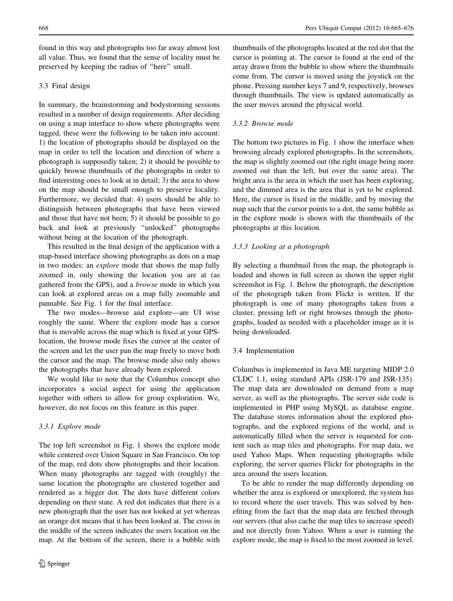found in this way and photographs too far away almost lost all value. Thus, we found that the sense of locality must be preserved by keeping the radius of ''here'' small.

### 3.3 Final design

In summary, the brainstorming and bodystorming sessions resulted in a number of design requirements. After deciding on using a map interface to show where photographs were tagged, these were the following to be taken into account: 1) the location of photographs should be displayed on the map in order to tell the location and direction of where a photograph is supposedly taken; 2) it should be possible to quickly browse thumbnails of the photographs in order to find interesting ones to look at in detail; 3) the area to show on the map should be small enough to preserve locality. Furthermore, we decided that: 4) users should be able to distinguish between photographs that have been viewed and those that have not been; 5) it should be possible to go back and look at previously ''unlocked'' photographs without being at the location of the photograph.

This resulted in the final design of the application with a map-based interface showing photographs as dots on a map in two modes: an explore mode that shows the map fully zoomed in, only showing the location you are at (as gathered from the GPS), and a browse mode in which you can look at explored areas on a map fully zoomable and pannable. See Fig. [1](#page-4-0) for the final interface.

The two modes—browse and explore—are UI wise roughly the same. Where the explore mode has a cursor that is movable across the map which is fixed at your GPSlocation, the browse mode fixes the cursor at the center of the screen and let the user pan the map freely to move both the cursor and the map. The browse mode also only shows the photographs that have already been explored.

We would like to note that the Columbus concept also incorporates a social aspect for using the application together with others to allow for group exploration. We, however, do not focus on this feature in this paper.

## 3.3.1 Explore mode

The top left screenshot in Fig. [1](#page-4-0) shows the explore mode while centered over Union Square in San Francisco. On top of the map, red dots show photographs and their location. When many photographs are tagged with (roughly) the same location the photographs are clustered together and rendered as a bigger dot. The dots have different colors depending on their state. A red dot indicates that there is a new photograph that the user has not looked at yet whereas an orange dot means that it has been looked at. The cross in the middle of the screen indicates the users location on the map. At the bottom of the screen, there is a bubble with

thumbnails of the photographs located at the red dot that the cursor is pointing at. The cursor is found at the end of the array drawn from the bubble to show where the thumbnails come from. The cursor is moved using the joystick on the phone. Pressing number keys 7 and 9, respectively, browses through thumbnails. The view is updated automatically as the user moves around the physical world.

## 3.3.2 Browse mode

The bottom two pictures in Fig. [1](#page-4-0) show the interface when browsing already explored photographs. In the screenshots, the map is slightly zoomed out (the right image being more zoomed out than the left, but over the same area). The bright area is the area in which the user has been exploring, and the dimmed area is the area that is yet to be explored. Here, the cursor is fixed in the middle, and by moving the map such that the cursor points to a dot, the same bubble as in the explore mode is shown with the thumbnails of the photographs at this location.

## 3.3.3 Looking at a photograph

By selecting a thumbnail from the map, the photograph is loaded and shown in full screen as shown the upper right screenshot in Fig. [1](#page-4-0). Below the photograph, the description of the photograph taken from Flickr is written. If the photograph is one of many photographs taken from a cluster, pressing left or right browses through the photographs, loaded as needed with a placeholder image as it is being downloaded.

#### 3.4 Implementation

Columbus is implemented in Java ME targeting MIDP 2.0 CLDC 1.1, using standard APIs (JSR-179 and JSR-135). The map data are downloaded on demand from a map server, as well as the photographs. The server side code is implemented in PHP using MySQL as database engine. The database stores information about the explored photographs, and the explored regions of the world, and is automatically filled when the server is requested for content such as map tiles and photographs. For map data, we used Yahoo Maps. When requesting photographs while exploring, the server queries Flickr for photographs in the area around the users location.

To be able to render the map differently depending on whether the area is explored or unexplored, the system has to record where the user travels. This was solved by benefiting from the fact that the map data are fetched through our servers (that also cache the map tiles to increase speed) and not directly from Yahoo. When a user is running the explore mode, the map is fixed to the most zoomed in level.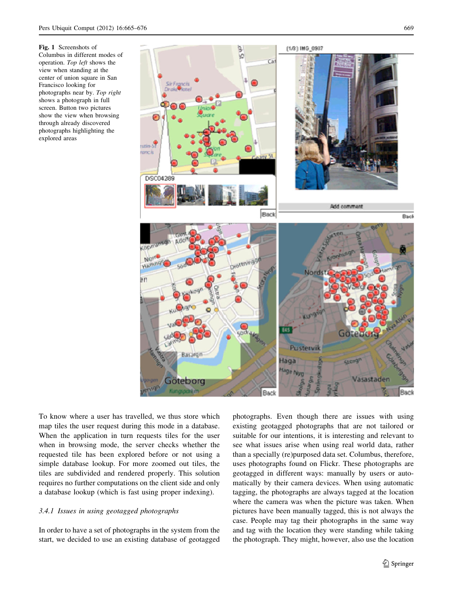<span id="page-4-0"></span>Fig. 1 Screenshots of Columbus in different modes of operation. Top left shows the view when standing at the center of union square in San Francisco looking for photographs near by. Top right shows a photograph in full screen. Button two pictures show the view when browsing through already discovered photographs highlighting the explored areas



To know where a user has travelled, we thus store which map tiles the user request during this mode in a database. When the application in turn requests tiles for the user when in browsing mode, the server checks whether the requested tile has been explored before or not using a simple database lookup. For more zoomed out tiles, the tiles are subdivided and rendered properly. This solution requires no further computations on the client side and only a database lookup (which is fast using proper indexing).

#### 3.4.1 Issues in using geotagged photographs

In order to have a set of photographs in the system from the start, we decided to use an existing database of geotagged photographs. Even though there are issues with using existing geotagged photographs that are not tailored or suitable for our intentions, it is interesting and relevant to see what issues arise when using real world data, rather than a specially (re)purposed data set. Columbus, therefore, uses photographs found on Flickr. These photographs are geotagged in different ways: manually by users or automatically by their camera devices. When using automatic tagging, the photographs are always tagged at the location where the camera was when the picture was taken. When pictures have been manually tagged, this is not always the case. People may tag their photographs in the same way and tag with the location they were standing while taking the photograph. They might, however, also use the location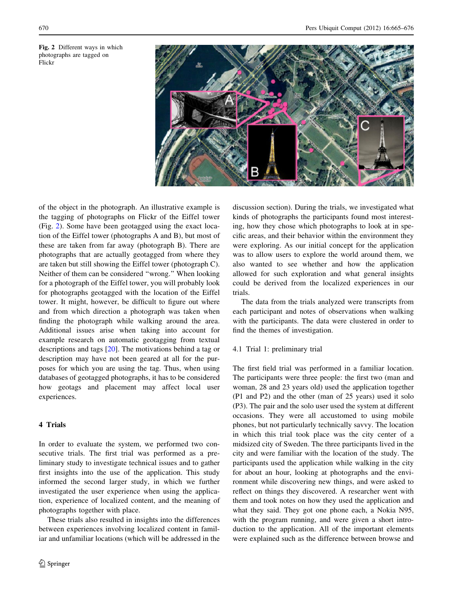



of the object in the photograph. An illustrative example is the tagging of photographs on Flickr of the Eiffel tower (Fig. 2). Some have been geotagged using the exact location of the Eiffel tower (photographs A and B), but most of these are taken from far away (photograph B). There are photographs that are actually geotagged from where they are taken but still showing the Eiffel tower (photograph C). Neither of them can be considered ''wrong.'' When looking for a photograph of the Eiffel tower, you will probably look for photographs geotagged with the location of the Eiffel tower. It might, however, be difficult to figure out where and from which direction a photograph was taken when finding the photograph while walking around the area. Additional issues arise when taking into account for example research on automatic geotagging from textual descriptions and tags [[20\]](#page-11-0). The motivations behind a tag or description may have not been geared at all for the purposes for which you are using the tag. Thus, when using databases of geotagged photographs, it has to be considered how geotags and placement may affect local user experiences.

#### 4 Trials

In order to evaluate the system, we performed two consecutive trials. The first trial was performed as a preliminary study to investigate technical issues and to gather first insights into the use of the application. This study informed the second larger study, in which we further investigated the user experience when using the application, experience of localized content, and the meaning of photographs together with place.

These trials also resulted in insights into the differences between experiences involving localized content in familiar and unfamiliar locations (which will be addressed in the discussion section). During the trials, we investigated what kinds of photographs the participants found most interesting, how they chose which photographs to look at in specific areas, and their behavior within the environment they were exploring. As our initial concept for the application was to allow users to explore the world around them, we also wanted to see whether and how the application allowed for such exploration and what general insights could be derived from the localized experiences in our trials.

The data from the trials analyzed were transcripts from each participant and notes of observations when walking with the participants. The data were clustered in order to find the themes of investigation.

#### 4.1 Trial 1: preliminary trial

The first field trial was performed in a familiar location. The participants were three people: the first two (man and woman, 28 and 23 years old) used the application together (P1 and P2) and the other (man of 25 years) used it solo (P3). The pair and the solo user used the system at different occasions. They were all accustomed to using mobile phones, but not particularly technically savvy. The location in which this trial took place was the city center of a midsized city of Sweden. The three participants lived in the city and were familiar with the location of the study. The participants used the application while walking in the city for about an hour, looking at photographs and the environment while discovering new things, and were asked to reflect on things they discovered. A researcher went with them and took notes on how they used the application and what they said. They got one phone each, a Nokia N95, with the program running, and were given a short introduction to the application. All of the important elements were explained such as the difference between browse and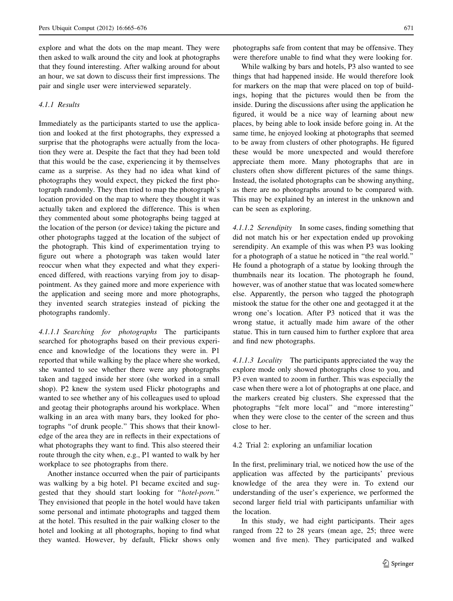explore and what the dots on the map meant. They were then asked to walk around the city and look at photographs that they found interesting. After walking around for about an hour, we sat down to discuss their first impressions. The pair and single user were interviewed separately.

# 4.1.1 Results

Immediately as the participants started to use the application and looked at the first photographs, they expressed a surprise that the photographs were actually from the location they were at. Despite the fact that they had been told that this would be the case, experiencing it by themselves came as a surprise. As they had no idea what kind of photographs they would expect, they picked the first photograph randomly. They then tried to map the photograph's location provided on the map to where they thought it was actually taken and explored the difference. This is when they commented about some photographs being tagged at the location of the person (or device) taking the picture and other photographs tagged at the location of the subject of the photograph. This kind of experimentation trying to figure out where a photograph was taken would later reoccur when what they expected and what they experienced differed, with reactions varying from joy to disappointment. As they gained more and more experience with the application and seeing more and more photographs, they invented search strategies instead of picking the photographs randomly.

4.1.1.1 Searching for photographs The participants searched for photographs based on their previous experience and knowledge of the locations they were in. P1 reported that while walking by the place where she worked, she wanted to see whether there were any photographs taken and tagged inside her store (she worked in a small shop). P2 knew the system used Flickr photographs and wanted to see whether any of his colleagues used to upload and geotag their photographs around his workplace. When walking in an area with many bars, they looked for photographs ''of drunk people.'' This shows that their knowledge of the area they are in reflects in their expectations of what photographs they want to find. This also steered their route through the city when, e.g., P1 wanted to walk by her workplace to see photographs from there.

Another instance occurred when the pair of participants was walking by a big hotel. P1 became excited and suggested that they should start looking for ''hotel-porn.'' They envisioned that people in the hotel would have taken some personal and intimate photographs and tagged them at the hotel. This resulted in the pair walking closer to the hotel and looking at all photographs, hoping to find what they wanted. However, by default, Flickr shows only

photographs safe from content that may be offensive. They were therefore unable to find what they were looking for.

While walking by bars and hotels, P3 also wanted to see things that had happened inside. He would therefore look for markers on the map that were placed on top of buildings, hoping that the pictures would then be from the inside. During the discussions after using the application he figured, it would be a nice way of learning about new places, by being able to look inside before going in. At the same time, he enjoyed looking at photographs that seemed to be away from clusters of other photographs. He figured these would be more unexpected and would therefore appreciate them more. Many photographs that are in clusters often show different pictures of the same things. Instead, the isolated photographs can be showing anything, as there are no photographs around to be compared with. This may be explained by an interest in the unknown and can be seen as exploring.

4.1.1.2 Serendipity In some cases, finding something that did not match his or her expectation ended up provoking serendipity. An example of this was when P3 was looking for a photograph of a statue he noticed in ''the real world.'' He found a photograph of a statue by looking through the thumbnails near its location. The photograph he found, however, was of another statue that was located somewhere else. Apparently, the person who tagged the photograph mistook the statue for the other one and geotagged it at the wrong one's location. After P3 noticed that it was the wrong statue, it actually made him aware of the other statue. This in turn caused him to further explore that area and find new photographs.

4.1.1.3 Locality The participants appreciated the way the explore mode only showed photographs close to you, and P3 even wanted to zoom in further. This was especially the case when there were a lot of photographs at one place, and the markers created big clusters. She expressed that the photographs ''felt more local'' and ''more interesting'' when they were close to the center of the screen and thus close to her.

#### 4.2 Trial 2: exploring an unfamiliar location

In the first, preliminary trial, we noticed how the use of the application was affected by the participants' previous knowledge of the area they were in. To extend our understanding of the user's experience, we performed the second larger field trial with participants unfamiliar with the location.

In this study, we had eight participants. Their ages ranged from 22 to 28 years (mean age, 25; three were women and five men). They participated and walked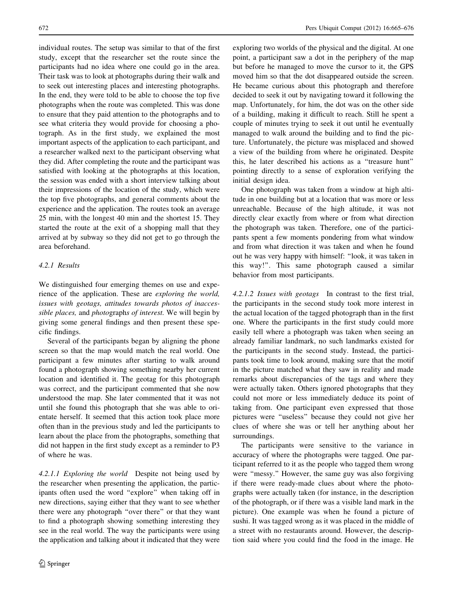individual routes. The setup was similar to that of the first study, except that the researcher set the route since the participants had no idea where one could go in the area. Their task was to look at photographs during their walk and to seek out interesting places and interesting photographs. In the end, they were told to be able to choose the top five photographs when the route was completed. This was done to ensure that they paid attention to the photographs and to see what criteria they would provide for choosing a photograph. As in the first study, we explained the most important aspects of the application to each participant, and a researcher walked next to the participant observing what they did. After completing the route and the participant was satisfied with looking at the photographs at this location, the session was ended with a short interview talking about their impressions of the location of the study, which were the top five photographs, and general comments about the experience and the application. The routes took an average 25 min, with the longest 40 min and the shortest 15. They started the route at the exit of a shopping mall that they arrived at by subway so they did not get to go through the area beforehand.

# 4.2.1 Results

We distinguished four emerging themes on use and experience of the application. These are exploring the world, issues with geotags, attitudes towards photos of inaccessible places, and photographs of interest. We will begin by giving some general findings and then present these specific findings.

Several of the participants began by aligning the phone screen so that the map would match the real world. One participant a few minutes after starting to walk around found a photograph showing something nearby her current location and identified it. The geotag for this photograph was correct, and the participant commented that she now understood the map. She later commented that it was not until she found this photograph that she was able to orientate herself. It seemed that this action took place more often than in the previous study and led the participants to learn about the place from the photographs, something that did not happen in the first study except as a reminder to P3 of where he was.

4.2.1.1 Exploring the world Despite not being used by the researcher when presenting the application, the participants often used the word ''explore'' when taking off in new directions, saying either that they want to see whether there were any photograph ''over there'' or that they want to find a photograph showing something interesting they see in the real world. The way the participants were using the application and talking about it indicated that they were exploring two worlds of the physical and the digital. At one point, a participant saw a dot in the periphery of the map but before he managed to move the cursor to it, the GPS moved him so that the dot disappeared outside the screen. He became curious about this photograph and therefore decided to seek it out by navigating toward it following the map. Unfortunately, for him, the dot was on the other side of a building, making it difficult to reach. Still he spent a couple of minutes trying to seek it out until he eventually managed to walk around the building and to find the picture. Unfortunately, the picture was misplaced and showed a view of the building from where he originated. Despite this, he later described his actions as a ''treasure hunt'' pointing directly to a sense of exploration verifying the initial design idea.

One photograph was taken from a window at high altitude in one building but at a location that was more or less unreachable. Because of the high altitude, it was not directly clear exactly from where or from what direction the photograph was taken. Therefore, one of the participants spent a few moments pondering from what window and from what direction it was taken and when he found out he was very happy with himself: ''look, it was taken in this way!''. This same photograph caused a similar behavior from most participants.

4.2.1.2 Issues with geotags In contrast to the first trial, the participants in the second study took more interest in the actual location of the tagged photograph than in the first one. Where the participants in the first study could more easily tell where a photograph was taken when seeing an already familiar landmark, no such landmarks existed for the participants in the second study. Instead, the participants took time to look around, making sure that the motif in the picture matched what they saw in reality and made remarks about discrepancies of the tags and where they were actually taken. Others ignored photographs that they could not more or less immediately deduce its point of taking from. One participant even expressed that those pictures were ''useless'' because they could not give her clues of where she was or tell her anything about her surroundings.

The participants were sensitive to the variance in accuracy of where the photographs were tagged. One participant referred to it as the people who tagged them wrong were "messy." However, the same guy was also forgiving if there were ready-made clues about where the photographs were actually taken (for instance, in the description of the photograph, or if there was a visible land mark in the picture). One example was when he found a picture of sushi. It was tagged wrong as it was placed in the middle of a street with no restaurants around. However, the description said where you could find the food in the image. He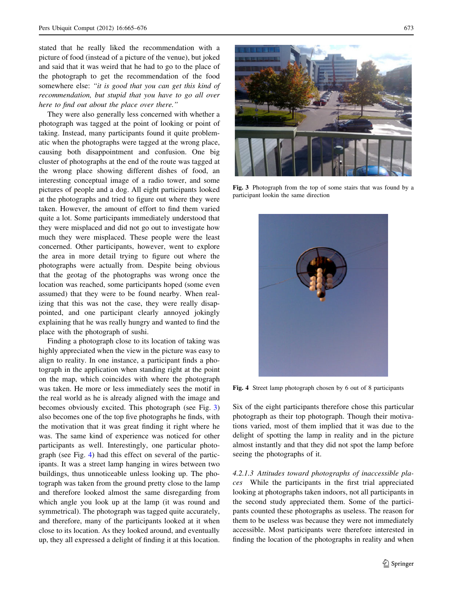stated that he really liked the recommendation with a picture of food (instead of a picture of the venue), but joked and said that it was weird that he had to go to the place of the photograph to get the recommendation of the food somewhere else: "it is good that you can get this kind of recommendation, but stupid that you have to go all over here to find out about the place over there.''

They were also generally less concerned with whether a photograph was tagged at the point of looking or point of taking. Instead, many participants found it quite problematic when the photographs were tagged at the wrong place, causing both disappointment and confusion. One big cluster of photographs at the end of the route was tagged at the wrong place showing different dishes of food, an interesting conceptual image of a radio tower, and some pictures of people and a dog. All eight participants looked at the photographs and tried to figure out where they were taken. However, the amount of effort to find them varied quite a lot. Some participants immediately understood that they were misplaced and did not go out to investigate how much they were misplaced. These people were the least concerned. Other participants, however, went to explore the area in more detail trying to figure out where the photographs were actually from. Despite being obvious that the geotag of the photographs was wrong once the location was reached, some participants hoped (some even assumed) that they were to be found nearby. When realizing that this was not the case, they were really disappointed, and one participant clearly annoyed jokingly explaining that he was really hungry and wanted to find the place with the photograph of sushi.

Finding a photograph close to its location of taking was highly appreciated when the view in the picture was easy to align to reality. In one instance, a participant finds a photograph in the application when standing right at the point on the map, which coincides with where the photograph was taken. He more or less immediately sees the motif in the real world as he is already aligned with the image and becomes obviously excited. This photograph (see Fig. 3) also becomes one of the top five photographs he finds, with the motivation that it was great finding it right where he was. The same kind of experience was noticed for other participants as well. Interestingly, one particular photograph (see Fig. 4) had this effect on several of the participants. It was a street lamp hanging in wires between two buildings, thus unnoticeable unless looking up. The photograph was taken from the ground pretty close to the lamp and therefore looked almost the same disregarding from which angle you look up at the lamp (it was round and symmetrical). The photograph was tagged quite accurately, and therefore, many of the participants looked at it when close to its location. As they looked around, and eventually up, they all expressed a delight of finding it at this location.





Fig. 3 Photograph from the top of some stairs that was found by a participant lookin the same direction



Fig. 4 Street lamp photograph chosen by 6 out of 8 participants

Six of the eight participants therefore chose this particular photograph as their top photograph. Though their motivations varied, most of them implied that it was due to the delight of spotting the lamp in reality and in the picture almost instantly and that they did not spot the lamp before seeing the photographs of it.

4.2.1.3 Attitudes toward photographs of inaccessible places While the participants in the first trial appreciated looking at photographs taken indoors, not all participants in the second study appreciated them. Some of the participants counted these photographs as useless. The reason for them to be useless was because they were not immediately accessible. Most participants were therefore interested in finding the location of the photographs in reality and when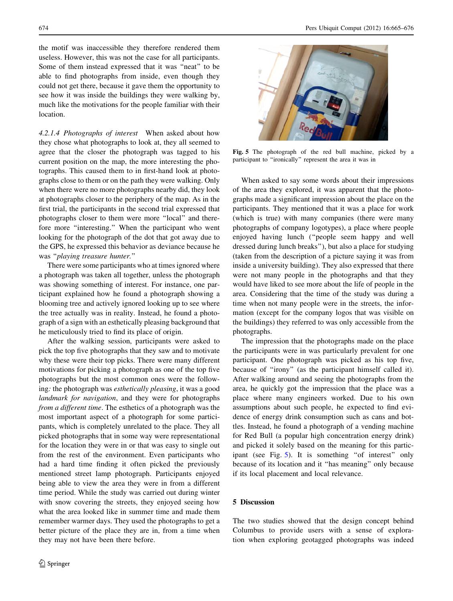the motif was inaccessible they therefore rendered them useless. However, this was not the case for all participants. Some of them instead expressed that it was ''neat'' to be able to find photographs from inside, even though they could not get there, because it gave them the opportunity to see how it was inside the buildings they were walking by, much like the motivations for the people familiar with their location.

4.2.1.4 Photographs of interest When asked about how they chose what photographs to look at, they all seemed to agree that the closer the photograph was tagged to his current position on the map, the more interesting the photographs. This caused them to in first-hand look at photographs close to them or on the path they were walking. Only when there were no more photographs nearby did, they look at photographs closer to the periphery of the map. As in the first trial, the participants in the second trial expressed that photographs closer to them were more ''local'' and therefore more ''interesting.'' When the participant who went looking for the photograph of the dot that got away due to the GPS, he expressed this behavior as deviance because he was ''playing treasure hunter.''

There were some participants who at times ignored where a photograph was taken all together, unless the photograph was showing something of interest. For instance, one participant explained how he found a photograph showing a blooming tree and actively ignored looking up to see where the tree actually was in reality. Instead, he found a photograph of a sign with an esthetically pleasing background that he meticulously tried to find its place of origin.

After the walking session, participants were asked to pick the top five photographs that they saw and to motivate why these were their top picks. There were many different motivations for picking a photograph as one of the top five photographs but the most common ones were the following: the photograph was esthetically pleasing, it was a good landmark for navigation, and they were for photographs from a different time. The esthetics of a photograph was the most important aspect of a photograph for some participants, which is completely unrelated to the place. They all picked photographs that in some way were representational for the location they were in or that was easy to single out from the rest of the environment. Even participants who had a hard time finding it often picked the previously mentioned street lamp photograph. Participants enjoyed being able to view the area they were in from a different time period. While the study was carried out during winter with snow covering the streets, they enjoyed seeing how what the area looked like in summer time and made them remember warmer days. They used the photographs to get a better picture of the place they are in, from a time when they may not have been there before.



Fig. 5 The photograph of the red bull machine, picked by a participant to ''ironically'' represent the area it was in

When asked to say some words about their impressions of the area they explored, it was apparent that the photographs made a significant impression about the place on the participants. They mentioned that it was a place for work (which is true) with many companies (there were many photographs of company logotypes), a place where people enjoyed having lunch (''people seem happy and well dressed during lunch breaks''), but also a place for studying (taken from the description of a picture saying it was from inside a university building). They also expressed that there were not many people in the photographs and that they would have liked to see more about the life of people in the area. Considering that the time of the study was during a time when not many people were in the streets, the information (except for the company logos that was visible on the buildings) they referred to was only accessible from the photographs.

The impression that the photographs made on the place the participants were in was particularly prevalent for one participant. One photograph was picked as his top five, because of ''irony'' (as the participant himself called it). After walking around and seeing the photographs from the area, he quickly got the impression that the place was a place where many engineers worked. Due to his own assumptions about such people, he expected to find evidence of energy drink consumption such as cans and bottles. Instead, he found a photograph of a vending machine for Red Bull (a popular high concentration energy drink) and picked it solely based on the meaning for this participant (see Fig. 5). It is something "of interest" only because of its location and it ''has meaning'' only because if its local placement and local relevance.

#### 5 Discussion

The two studies showed that the design concept behind Columbus to provide users with a sense of exploration when exploring geotagged photographs was indeed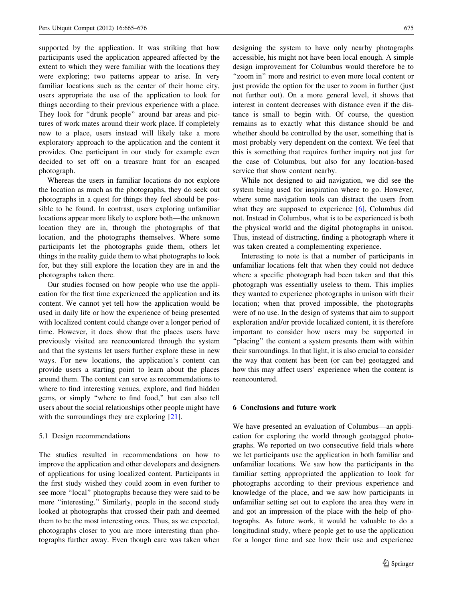supported by the application. It was striking that how participants used the application appeared affected by the extent to which they were familiar with the locations they were exploring; two patterns appear to arise. In very familiar locations such as the center of their home city, users appropriate the use of the application to look for things according to their previous experience with a place. They look for ''drunk people'' around bar areas and pictures of work mates around their work place. If completely new to a place, users instead will likely take a more exploratory approach to the application and the content it provides. One participant in our study for example even decided to set off on a treasure hunt for an escaped photograph.

Whereas the users in familiar locations do not explore the location as much as the photographs, they do seek out photographs in a quest for things they feel should be possible to be found. In contrast, users exploring unfamiliar locations appear more likely to explore both—the unknown location they are in, through the photographs of that location, and the photographs themselves. Where some participants let the photographs guide them, others let things in the reality guide them to what photographs to look for, but they still explore the location they are in and the photographs taken there.

Our studies focused on how people who use the application for the first time experienced the application and its content. We cannot yet tell how the application would be used in daily life or how the experience of being presented with localized content could change over a longer period of time. However, it does show that the places users have previously visited are reencountered through the system and that the systems let users further explore these in new ways. For new locations, the application's content can provide users a starting point to learn about the places around them. The content can serve as recommendations to where to find interesting venues, explore, and find hidden gems, or simply ''where to find food,'' but can also tell users about the social relationships other people might have with the surroundings they are exploring [\[21](#page-11-0)].

#### 5.1 Design recommendations

The studies resulted in recommendations on how to improve the application and other developers and designers of applications for using localized content. Participants in the first study wished they could zoom in even further to see more ''local'' photographs because they were said to be more "interesting." Similarly, people in the second study looked at photographs that crossed their path and deemed them to be the most interesting ones. Thus, as we expected, photographs closer to you are more interesting than photographs further away. Even though care was taken when designing the system to have only nearby photographs accessible, his might not have been local enough. A simple design improvement for Columbus would therefore be to ''zoom in'' more and restrict to even more local content or just provide the option for the user to zoom in further (just not further out). On a more general level, it shows that interest in content decreases with distance even if the distance is small to begin with. Of course, the question remains as to exactly what this distance should be and whether should be controlled by the user, something that is most probably very dependent on the context. We feel that this is something that requires further inquiry not just for the case of Columbus, but also for any location-based service that show content nearby.

While not designed to aid navigation, we did see the system being used for inspiration where to go. However, where some navigation tools can distract the users from what they are supposed to experience [\[6](#page-11-0)], Columbus did not. Instead in Columbus, what is to be experienced is both the physical world and the digital photographs in unison. Thus, instead of distracting, finding a photograph where it was taken created a complementing experience.

Interesting to note is that a number of participants in unfamiliar locations felt that when they could not deduce where a specific photograph had been taken and that this photograph was essentially useless to them. This implies they wanted to experience photographs in unison with their location; when that proved impossible, the photographs were of no use. In the design of systems that aim to support exploration and/or provide localized content, it is therefore important to consider how users may be supported in "placing" the content a system presents them with within their surroundings. In that light, it is also crucial to consider the way that content has been (or can be) geotagged and how this may affect users' experience when the content is reencountered.

## 6 Conclusions and future work

We have presented an evaluation of Columbus—an application for exploring the world through geotagged photographs. We reported on two consecutive field trials where we let participants use the application in both familiar and unfamiliar locations. We saw how the participants in the familiar setting appropriated the application to look for photographs according to their previous experience and knowledge of the place, and we saw how participants in unfamiliar setting set out to explore the area they were in and got an impression of the place with the help of photographs. As future work, it would be valuable to do a longitudinal study, where people get to use the application for a longer time and see how their use and experience